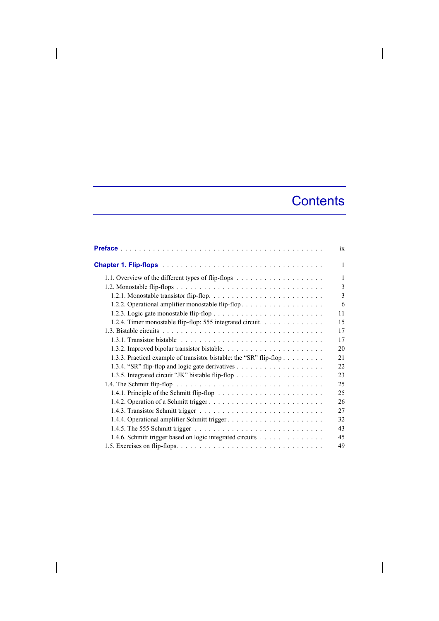## **Contents**

|                                                                     | 1X |
|---------------------------------------------------------------------|----|
|                                                                     | 1  |
|                                                                     | 1  |
|                                                                     | 3  |
|                                                                     | 3  |
| 1.2.2. Operational amplifier monostable flip-flop.                  | 6  |
|                                                                     | 11 |
| 1.2.4. Timer monostable flip-flop: 555 integrated circuit.          | 15 |
|                                                                     | 17 |
|                                                                     | 17 |
|                                                                     | 20 |
| 1.3.3. Practical example of transistor bistable: the "SR" flip-flop | 21 |
|                                                                     | 22 |
|                                                                     | 23 |
|                                                                     | 25 |
|                                                                     | 25 |
|                                                                     | 26 |
|                                                                     | 27 |
|                                                                     | 32 |
|                                                                     | 43 |
| 1.4.6. Schmitt trigger based on logic integrated circuits           | 45 |
|                                                                     | 49 |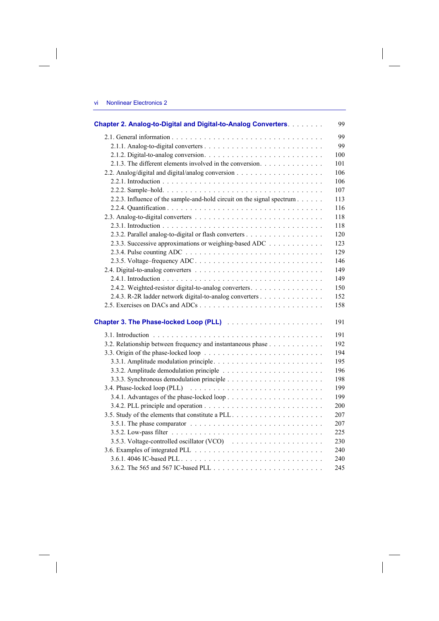$\overline{\phantom{a}}$ 

 $\begin{array}{c} \hline \end{array}$ 

| Chapter 2. Analog-to-Digital and Digital-to-Analog Converters.                                      | 99  |
|-----------------------------------------------------------------------------------------------------|-----|
|                                                                                                     | 99  |
|                                                                                                     | 99  |
|                                                                                                     | 100 |
| 2.1.3. The different elements involved in the conversion.                                           | 101 |
|                                                                                                     | 106 |
|                                                                                                     | 106 |
|                                                                                                     | 107 |
| 2.2.3. Influence of the sample-and-hold circuit on the signal spectrum                              | 113 |
|                                                                                                     | 116 |
|                                                                                                     | 118 |
|                                                                                                     | 118 |
| 2.3.2. Parallel analog-to-digital or flash converters                                               | 120 |
| 2.3.3. Successive approximations or weighing-based ADC                                              | 123 |
|                                                                                                     | 129 |
|                                                                                                     | 146 |
|                                                                                                     | 149 |
|                                                                                                     | 149 |
| 2.4.2. Weighted-resistor digital-to-analog converters.                                              | 150 |
| 2.4.3. R-2R ladder network digital-to-analog converters                                             | 152 |
|                                                                                                     | 158 |
|                                                                                                     | 191 |
|                                                                                                     | 191 |
| 3.2. Relationship between frequency and instantaneous phase                                         | 192 |
|                                                                                                     | 194 |
|                                                                                                     | 195 |
|                                                                                                     | 196 |
|                                                                                                     | 198 |
|                                                                                                     | 199 |
|                                                                                                     | 199 |
|                                                                                                     | 200 |
|                                                                                                     | 207 |
| 3.5.1. The phase comparator $\ldots \ldots \ldots \ldots \ldots \ldots \ldots \ldots \ldots \ldots$ | 207 |
|                                                                                                     | 225 |
| 3.5.3. Voltage-controlled oscillator (VCO)                                                          | 230 |
|                                                                                                     | 240 |
|                                                                                                     | 240 |
|                                                                                                     | 245 |

 $\overline{\phantom{a}}$